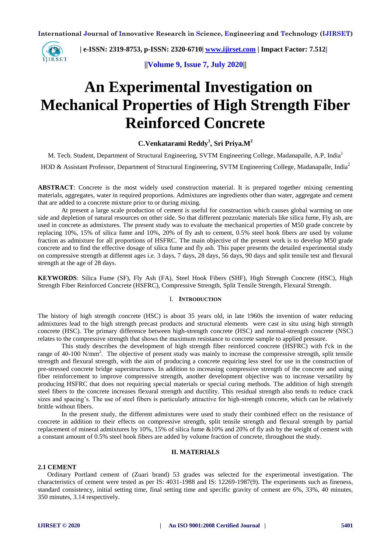

 **| e-ISSN: 2319-8753, p-ISSN: 2320-6710| [www.ijirset.com](http://www.ijirset.com/) | Impact Factor: 7.512|**

**||Volume 9, Issue 7, July 2020||** 

# **An Experimental Investigation on Mechanical Properties of High Strength Fiber Reinforced Concrete**

# **C.Venkatarami Reddy<sup>1</sup> , Sri Priya.M<sup>2</sup>**

M. Tech. Student, Department of Structural Engineering, SVTM Engineering College, Madanapalle, A.P, India<sup>1</sup>

HOD & Assistant Professor, Department of Structural Engineering, SVTM Engineering College, Madanapalle, India<sup>2</sup>

**ABSTRACT**: Concrete is the most widely used construction material. It is prepared together mixing cementing materials, aggregates, water in required proportions. Admixtures are ingredients other than water, aggregate and cement that are added to a concrete mixture prior to or during mixing.

At present a large scale production of cement is useful for construction which causes global warming on one side and depletion of natural resources on other side. So that different pozzolanic materials like silica fume, Fly ash, are used in concrete as admixtures. The present study was to evaluate the mechanical properties of M50 grade concrete by replacing 10%, 15% of silica fume and 10%, 20% of fly ash to cement, 0.5% steel hook fibers are used by volume fraction as admixture for all proportions of HSFRC. The main objective of the present work is to develop M50 grade concrete and to find the effective dosage of silica fume and fly ash. This paper presents the detailed experimental study on compressive strength at different ages i.e. 3 days, 7 days, 28 days, 56 days, 90 days and split tensile test and flexural strength at the age of 28 days.

**KEYWORDS**: Silica Fume (SF), Fly Ash (FA), Steel Hook Fibers (SHF), High Strength Concrete (HSC), High Strength Fiber Reinforced Concrete (HSFRC), Compressive Strength, Split Tensile Strength, Flexural Strength.

#### I. **INTRODUCTION**

The history of high strength concrete (HSC) is about 35 years old, in late 1960s the invention of water reducing admixtures lead to the high strength precast products and structural elements were cast in situ using high strength concrete (HSC). The primary difference between high-strength concrete (HSC) and normal-strength concrete (NSC) relates to the compressive strength that shows the maximum resistance to concrete sample to applied pressure.

This study describes the development of high strength fiber reinforced concrete (HSFRC) with f'ck in the range of 40-100 N/mm<sup>2</sup>. The objective of present study was mainly to increase the compressive strength, split tensile strength and flexural strength, with the aim of producing a concrete requiring less steel for use in the construction of pre-stressed concrete bridge superstructures. In addition to increasing compressive strength of the concrete and using fiber reinforcement to improve compressive strength, another development objective was to increase versatility by producing HSFRC that does not requiring special materials or special curing methods. The addition of high strength steel fibers to the concrete increases flexural strength and ductility. This residual strength also tends to reduce crack sizes and spacing's. The use of steel fibers is particularly attractive for high-strength concrete, which can be relatively brittle without fibers.

In the present study, the different admixtures were used to study their combined effect on the resistance of concrete in addition to their effects on compressive strength, split tensile strength and flexural strength by partial replacement of mineral admixtures by 10%, 15% of silica fume &10% and 20% of fly ash by the weight of cement with a constant amount of 0.5% steel hook fibers are added by volume fraction of concrete, throughout the study.

#### **II. MATERIALS**

#### **2.1 CEMENT**

Ordinary Portland cement of (Zuari brand) 53 grades was selected for the experimental investigation. The characteristics of cement were tested as per IS: 4031-1988 and IS: 12269-1987(9). The experiments such as fineness, standard consistency, initial setting time, final setting time and specific gravity of cement are 6%, 33%, 40 minutes, 350 minutes, 3.14 respectively.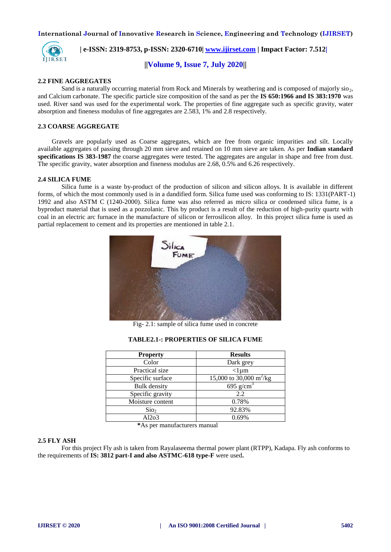

 **| e-ISSN: 2319-8753, p-ISSN: 2320-6710| [www.ijirset.com](http://www.ijirset.com/) | Impact Factor: 7.512|**

**||Volume 9, Issue 7, July 2020||** 

#### **2.2 FINE AGGREGATES**

Sand is a naturally occurring material from Rock and Minerals by weathering and is composed of majorly  $sio_2$ , and Calcium carbonate. The specific particle size composition of the sand as per the **IS 650:1966 and IS 383:1970** was used. River sand was used for the experimental work. The properties of fine aggregate such as specific gravity, water absorption and fineness modulus of fine aggregates are 2.583, 1% and 2.8 respectively.

#### **2.3 COARSE AGGREGATE**

Gravels are popularly used as Coarse aggregates, which are free from organic impurities and silt. Locally available aggregates of passing through 20 mm sieve and retained on 10 mm sieve are taken. As per **Indian standard specifications IS 383-1987** the coarse aggregates were tested. The aggregates are angular in shape and free from dust. The specific gravity, water absorption and fineness modulus are 2.68, 0.5% and 6.26 respectively.

#### **2.4 SILICA FUME**

Silica fume is a waste by-product of the production of silicon and silicon alloys. It is available in different forms, of which the most commonly used is in a dandified form. Silica fume used was conforming to IS: 1331(PART-1) 1992 and also ASTM C (1240-2000). Silica fume was also referred as micro silica or condensed silica fume, is a byproduct material that is used as a pozzolanic. This by product is a result of the reduction of high-purity quartz with coal in an electric arc furnace in the manufacture of silicon or ferrosilicon alloy. In this project silica fume is used as partial replacement to cement and its properties are mentioned in table 2.1.



Fig- 2.1: sample of silica fume used in concrete

| <b>Property</b> | <b>Results</b> |
|-----------------|----------------|
| Color           | Dark grey      |
|                 |                |

#### **TABLE2.1-: PROPERTIES OF SILICA FUME**

| <b>Property</b>     | <b>Results</b>                      |
|---------------------|-------------------------------------|
| Color               | Dark grey                           |
| Practical size      | $<$ lum                             |
| Specific surface    | 15,000 to 30,000 m <sup>2</sup> /kg |
| <b>Bulk</b> density | 695 g/cm <sup>3</sup>               |
| Specific gravity    | 2.2                                 |
| Moisture content    | 0.78%                               |
| Sio <sub>2</sub>    | 92.83%                              |
| Al2o3               | 0.69%                               |

 **\***As per manufacturers manual

#### **2.5 FLY ASH**

For this project Fly ash is taken from Rayalaseema thermal power plant (RTPP), Kadapa. Fly ash conforms to the requirements of **IS: 3812 part-I and also ASTMC-618 type-F** were used**.**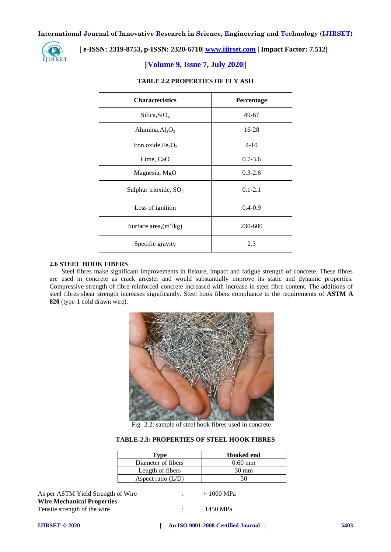

# **| e-ISSN: 2319-8753, p-ISSN: 2320-6710| [www.ijirset.com](http://www.ijirset.com/) | Impact Factor: 7.512|**

# **||Volume 9, Issue 7, July 2020||**

| <b>Characteristics</b>   | Percentage  |
|--------------------------|-------------|
| Silica, $SiO2$           | 49-67       |
| Alumina, $Al_2O_3$       | 16-28       |
| Iron oxide, $Fe2O3$      | $4 - 10$    |
| Lime, CaO                | $0.7 - 3.6$ |
| Magnesia, MgO            | $0.3 - 2.6$ |
| Sulphur trioxide, $SO_3$ | $0.1 - 2.1$ |
| Loss of ignition         | $0.4 - 0.9$ |
| Surface area, $(m^2/kg)$ | 230-600     |
| Specific gravity         | 2.3         |

# **TABLE 2.2 PROPERTIES OF FLY ASH**

#### **2.6 STEEL HOOK FIBERS**

Steel fibres make significant improvements in flexure, impact and fatigue strength of concrete. These fibres are used in concrete as crack arrester and would substantially improve its static and dynamic properties. Compressive strength of fibre reinforced concrete increased with increase in steel fibre content. The additions of steel fibres shear strength increases significantly. Steel hook fibers compliance to the requirements of **ASTM A 820** (type-1 cold drawn wire).



Fig- 2.2: sample of steel hook fibres used in concrete

#### **TABLE-2.3: PROPERTIES OF STEEL HOOK FIBRES**

| Type                 | <b>Hooked end</b> |
|----------------------|-------------------|
| Diameter of fibers   | $0.60 \text{ mm}$ |
| Length of fibers     | $30 \text{ mm}$   |
| Aspect ratio $(L/D)$ | 50                |

As per ASTM Yield Strength of Wire : > 1000 MPa **Wire Mechanical Properties**

Tensile strength of the wire : 1450 MPa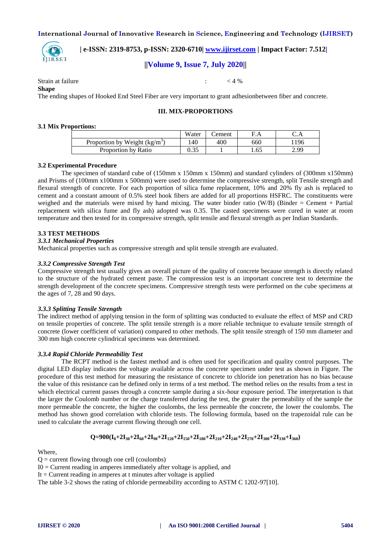

 **| e-ISSN: 2319-8753, p-ISSN: 2320-6710| [www.ijirset.com](http://www.ijirset.com/) | Impact Factor: 7.512|**

# **||Volume 9, Issue 7, July 2020||**

Strain at failure  $\leq 4\%$ 

**Shape** 

The ending shapes of Hooked End Steel Fiber are very important to grant adhesionbetween fiber and concrete.

### **III. MIX-PROPORTIONS**

#### **3.1 Mix Proportions:**

|                                 | Water | 'ement | F.A  | C.A  |
|---------------------------------|-------|--------|------|------|
| Proportion by Weight $(kg/m^3)$ | 140   | 400    | 660  | 196  |
| Proportion by Ratio             | 0.35  |        | 1.65 | 2.99 |

#### **3.2 Experimental Procedure**

The specimen of standard cube of (150mm x 150mm x 150mm) and standard cylinders of (300mm x150mm) and Prisms of (100mm x100mm x 500mm) were used to determine the compressive strength, split Tensile strength and flexural strength of concrete. For each proportion of silica fume replacement, 10% and 20% fly ash is replaced to cement and a constant amount of 0.5% steel hook fibers are added for all proportions HSFRC. The constituents were weighed and the materials were mixed by hand mixing. The water binder ratio (W/B) (Binder = Cement + Partial replacement with silica fume and fly ash) adopted was 0.35. The casted specimens were cured in water at room temperature and then tested for its compressive strength, split tensile and flexural strength as per Indian Standards.

#### **3.3 TEST METHODS**

#### *3.3.1 Mechanical Properties*

Mechanical properties such as compressive strength and split tensile strength are evaluated.

#### *3.3.2 Compressive Strength Test*

Compressive strength test usually gives an overall picture of the quality of concrete because strength is directly related to the structure of the hydrated cement paste. The compression test is an important concrete test to determine the strength development of the concrete specimens. Compressive strength tests were performed on the cube specimens at the ages of 7, 28 and 90 days.

#### *3.3.3 Splitting Tensile Strength*

The indirect method of applying tension in the form of splitting was conducted to evaluate the effect of MSP and CRD on tensile properties of concrete. The split tensile strength is a more reliable technique to evaluate tensile strength of concrete (lower coefficient of variation) compared to other methods. The split tensile strength of 150 mm diameter and 300 mm high concrete cylindrical specimens was determined.

#### *3.3.4 Rapid Chloride Permeability Test*

The RCPT method is the fastest method and is often used for specification and quality control purposes. The digital LED display indicates the voltage available across the concrete specimen under test as shown in Figure. The procedure of this test method for measuring the resistance of concrete to chloride ion penetration has no bias because the value of this resistance can be defined only in terms of a test method. The method relies on the results from a test in which electrical current passes through a concrete sample during a six-hour exposure period. The interpretation is that the larger the Coulomb number or the charge transferred during the test, the greater the permeability of the sample the more permeable the concrete, the higher the coulombs, the less permeable the concrete, the lower the coulombs. The method has shown good correlation with chloride tests. The following formula, based on the trapezoidal rule can be used to calculate the average current flowing through one cell.

# $Q=900(I_0+2I_{30}+2I_{60}+2I_{90}+2I_{120}+2I_{150}+2I_{180}+2I_{210}+2I_{240}+2I_{270}+2I_{300}+2I_{330}+I_{360})$

Where,

 $Q =$  current flowing through one cell (coulombs)

```
I0 = Current reading in amperes immediately after voltage is applied, and
```
It  $=$  Current reading in amperes at t minutes after voltage is applied

The table 3-2 shows the rating of chloride permeability according to ASTM C 1202-97[10].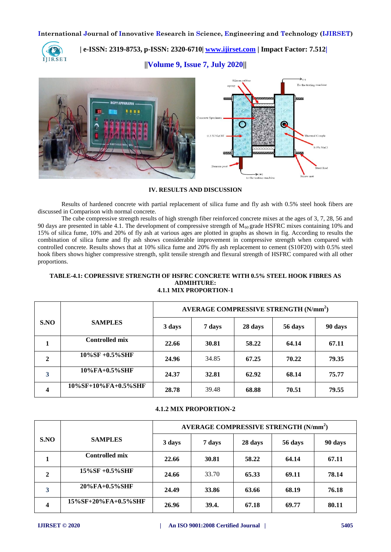

 **| e-ISSN: 2319-8753, p-ISSN: 2320-6710| [www.ijirset.com](http://www.ijirset.com/) | Impact Factor: 7.512|**

**||Volume 9, Issue 7, July 2020||** 



#### **IV. RESULTS AND DISCUSSION**

Results of hardened concrete with partial replacement of silica fume and fly ash with 0.5% steel hook fibers are discussed in Comparison with normal concrete.

The cube compressive strength results of high strength fiber reinforced concrete mixes at the ages of 3, 7, 28, 56 and 90 days are presented in table 4.1. The development of compressive strength of  $M_{60}$  grade HSFRC mixes containing 10% and 15% of silica fume, 10% and 20% of fly ash at various ages are plotted in graphs as shown in fig. According to results the combination of silica fume and fly ash shows considerable improvement in compressive strength when compared with controlled concrete. Results shows that at 10% silica fume and 20% fly ash replacement to cement (S10F20) with 0.5% steel hook fibers shows higher compressive strength, split tensile strength and flexural strength of HSFRC compared with all other proportions.

#### **TABLE-4.1: COPRESSIVE STRENGTH OF HSFRC CONCRETE WITH 0.5% STEEL HOOK FIBRES AS ADMIHTURE: 4.1.1 MIX PROPORTION-1**

|      |                       | AVERAGE COMPRESSIVE STRENGTH (N/mm <sup>2</sup> ) |        |         |         |         |
|------|-----------------------|---------------------------------------------------|--------|---------|---------|---------|
| S.NO | <b>SAMPLES</b>        | 3 days                                            | 7 days | 28 days | 56 days | 90 days |
|      | <b>Controlled mix</b> | 22.66                                             | 30.81  | 58.22   | 64.14   | 67.11   |
| 2    | $10\%$ SF +0.5%SHF    | 24.96                                             | 34.85  | 67.25   | 70.22   | 79.35   |
| 3    | $10\%FA+0.5\%SHF$     | 24.37                                             | 32.81  | 62.92   | 68.14   | 75.77   |
| 4    | 10%SF+10%FA+0.5%SHF   | 28.78                                             | 39.48  | 68.88   | 70.51   | 79.55   |

# **4.1.2 MIX PROPORTION-2**

|                |                         | AVERAGE COMPRESSIVE STRENGTH (N/mm <sup>2</sup> ) |        |         |         |         |
|----------------|-------------------------|---------------------------------------------------|--------|---------|---------|---------|
| S.NO           | <b>SAMPLES</b>          | 3 days                                            | 7 days | 28 days | 56 days | 90 days |
|                | <b>Controlled mix</b>   | 22.66                                             | 30.81  | 58.22   | 64.14   | 67.11   |
| 2              | 15%SF +0.5%SHF          | 24.66                                             | 33.70  | 65.33   | 69.11   | 78.14   |
| 3              | $20\%FA+0.5\%SHF$       | 24.49                                             | 33.86  | 63.66   | 68.19   | 76.18   |
| $\overline{4}$ | $15\%$ SF+20%FA+0.5%SHF | 26.96                                             | 39.4.  | 67.18   | 69.77   | 80.11   |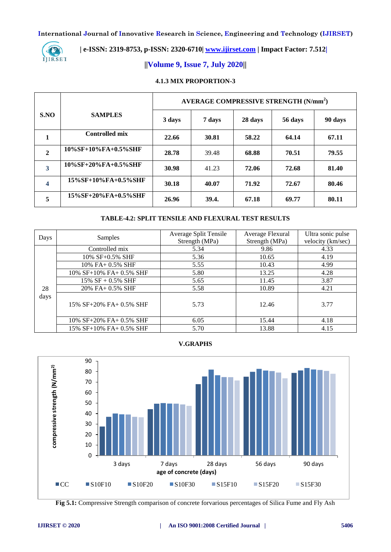

# **| e-ISSN: 2319-8753, p-ISSN: 2320-6710| [www.ijirset.com](http://www.ijirset.com/) | Impact Factor: 7.512|**

# **||Volume 9, Issue 7, July 2020||**

#### **4.1.3 MIX PROPORTION-3**

|              |                         | AVERAGE COMPRESSIVE STRENGTH (N/mm <sup>2</sup> ) |        |         |         |         |
|--------------|-------------------------|---------------------------------------------------|--------|---------|---------|---------|
| S.NO         | <b>SAMPLES</b>          | 3 days                                            | 7 days | 28 days | 56 days | 90 days |
| 1            | <b>Controlled mix</b>   | 22.66                                             | 30.81  | 58.22   | 64.14   | 67.11   |
| $\mathbf{2}$ | 10%SF+10%FA+0.5%SHF     | 28.78                                             | 39.48  | 68.88   | 70.51   | 79.55   |
| 3            | 10%SF+20%FA+0.5%SHF     | 30.98                                             | 41.23  | 72.06   | 72.68   | 81.40   |
| 4            | $15\%$ SF+10%FA+0.5%SHF | 30.18                                             | 40.07  | 71.92   | 72.67   | 80.46   |
| 5            | $15\%$ SF+20%FA+0.5%SHF | 26.96                                             | 39.4.  | 67.18   | 69.77   | 80.11   |

#### **TABLE-4.2: SPLIT TENSILE AND FLEXURAL TEST RESULTS**

| Days | Samples                 | Average Split Tensile<br>Strength (MPa) | Average Flexural<br>Strength (MPa) | Ultra sonic pulse<br>velocity (km/sec) |
|------|-------------------------|-----------------------------------------|------------------------------------|----------------------------------------|
|      | Controlled mix          | 5.34                                    | 9.86                               | 4.33                                   |
|      | $10\%$ SF $+0.5\%$ SHF  | 5.36                                    | 10.65                              | 4.19                                   |
|      | $10\%$ FA+ $0.5\%$ SHF  | 5.55                                    | 10.43                              | 4.99                                   |
|      | 10% SF+10% FA+ 0.5% SHF | 5.80                                    | 13.25                              | 4.28                                   |
|      | 15% $SF + 0.5%$ SHF     | 5.65                                    | 11.45                              | 3.87                                   |
| 28   | 20% FA+ 0.5% SHF        | 5.58                                    | 10.89                              | 4.21                                   |
| days | 15% SF+20% FA+ 0.5% SHF | 5.73                                    | 12.46                              | 3.77                                   |
|      | 10% SF+20% FA+ 0.5% SHF | 6.05                                    | 15.44                              | 4.18                                   |
|      | 15% SF+10% FA+ 0.5% SHF | 5.70                                    | 13.88                              | 4.15                                   |

**V.GRAPHS**



**Fig 5.1:** Compressive Strength comparison of concrete forvarious percentages of Silica Fume and Fly Ash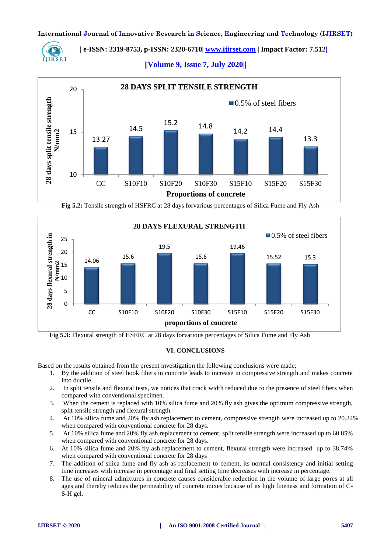

 **| e-ISSN: 2319-8753, p-ISSN: 2320-6710| [www.ijirset.com](http://www.ijirset.com/) | Impact Factor: 7.512|**

**||Volume 9, Issue 7, July 2020||** 



**Fig 5.2:** Tensile strength of HSFRC at 28 days forvarious percentages of Silica Fume and Fly Ash



 **Fig 5.3:** Flexural strength of HSERC at 28 days forvarious percentages of Silica Fume and Fly Ash

#### **VI. CONCLUSIONS**

Based on the results obtained from the present investigation the following conclusions were made;

- 1. By the addition of steel hook fibers in concrete leads to increase in compressive strength and makes concrete into ductile.
- 2. In split tensile and flexural tests, we notices that crack width reduced due to the presence of steel fibers when compared with conventional specimen.
- 3. When the cement is replaced with 10% silica fume and 20% fly ash gives the optimum compressive strength, split tensile strength and flexural strength.
- 4. At 10% silica fume and 20% fly ash replacement to cement, compressive strength were increased up to 20.34% when compared with conventional concrete for 28 days.
- 5. At 10% silica fume and 20% fly ash replacement to cement, split tensile strength were increased up to 60.85% when compared with conventional concrete for 28 days.
- 6. At 10% silica fume and 20% fly ash replacement to cement, flexural strength were increased up to 38.74% when compared with conventional concrete for 28 days
- 7. The addition of silica fume and fly ash as replacement to cement, its normal consistency and initial setting time increases with increase in percentage and final setting time decreases with increase in percentage.
- 8. The use of mineral admixtures in concrete causes considerable reduction in the volume of large pores at all ages and thereby reduces the permeability of concrete mixes because of its high fineness and formation of C-S-H gel.